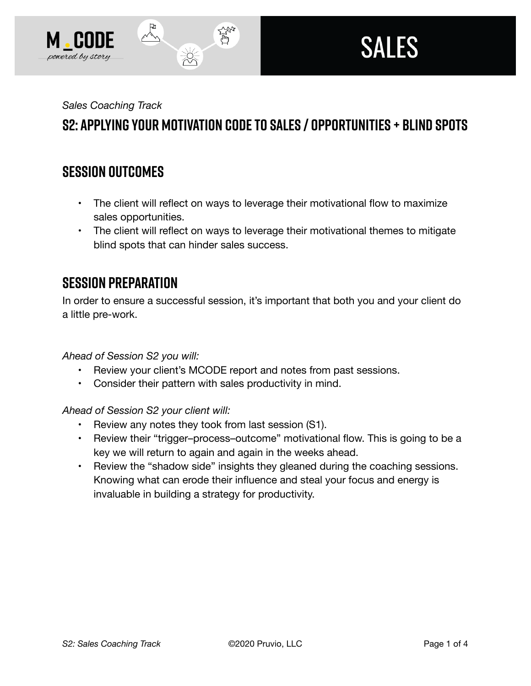

*Sales Coaching Track* 

# **S2: Applying Your Motivation Code to Sales / Opportunities + Blind Spots**

なご

### **SESSION OUTCOMES**

- The client will reflect on ways to leverage their motivational flow to maximize sales opportunities.
- The client will reflect on ways to leverage their motivational themes to mitigate blind spots that can hinder sales success.

### **SESSION PREPARATION**

In order to ensure a successful session, it's important that both you and your client do a little pre-work.

*Ahead of Session S2 you will:* 

- Review your client's MCODE report and notes from past sessions.
- Consider their pattern with sales productivity in mind.

*Ahead of Session S2 your client will:* 

- Review any notes they took from last session (S1).
- Review their "trigger–process–outcome" motivational flow. This is going to be a key we will return to again and again in the weeks ahead.
- Review the "shadow side" insights they gleaned during the coaching sessions. Knowing what can erode their influence and steal your focus and energy is invaluable in building a strategy for productivity.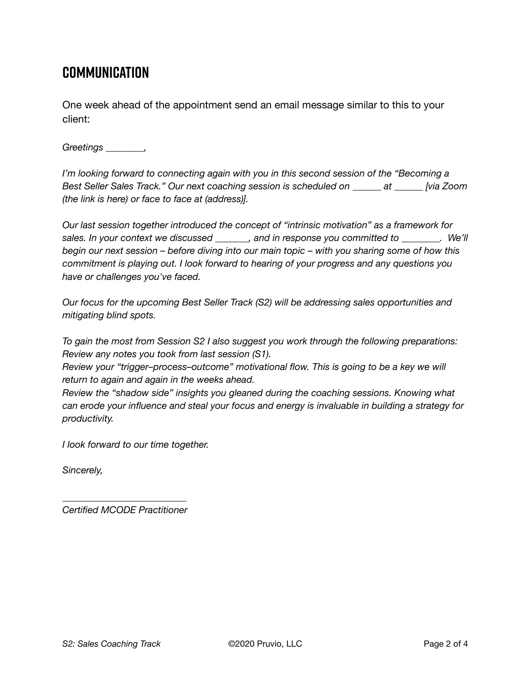# **Communication**

One week ahead of the appointment send an email message similar to this to your client:

*Greetings \_\_\_\_\_\_\_\_,* 

*I'm looking forward to connecting again with you in this second session of the "Becoming a Best Seller Sales Track." Our next coaching session is scheduled on \_\_\_\_\_\_ at \_\_\_\_\_\_ [via Zoom (the link is here) or face to face at (address)].* 

*Our last session together introduced the concept of "intrinsic motivation" as a framework for sales. In your context we discussed \_\_\_\_\_\_\_, and in response you committed to \_\_\_\_\_\_\_\_. We'll begin our next session – before diving into our main topic – with you sharing some of how this commitment is playing out. I look forward to hearing of your progress and any questions you have or challenges you've faced.* 

*Our focus for the upcoming Best Seller Track (S2) will be addressing sales opportunities and mitigating blind spots.* 

*To gain the most from Session S2 I also suggest you work through the following preparations: Review any notes you took from last session (S1).* 

*Review your "trigger–process–outcome" motivational flow. This is going to be a key we will return to again and again in the weeks ahead.* 

*Review the "shadow side" insights you gleaned during the coaching sessions. Knowing what can erode your influence and steal your focus and energy is invaluable in building a strategy for productivity.* 

*I look forward to our time together.* 

*Sincerely,* 

*\_\_\_\_\_\_\_\_\_\_\_\_\_\_\_\_\_\_\_\_\_\_\_\_\_\_ Certified MCODE Practitioner*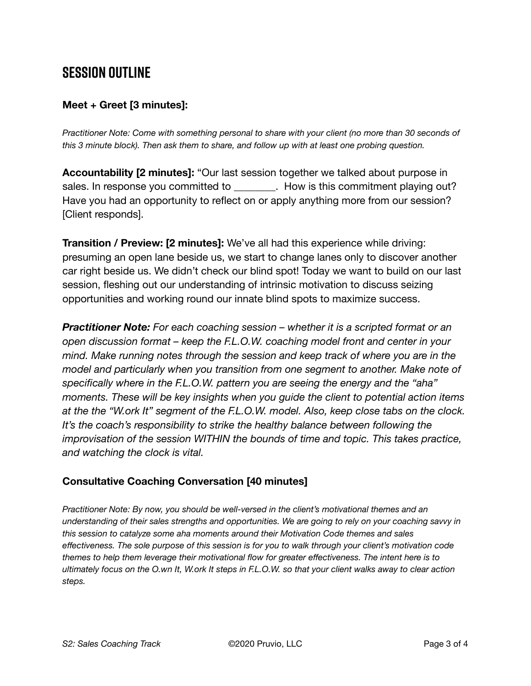# **SESSION OUTLINE**

#### **Meet + Greet [3 minutes]:**

*Practitioner Note: Come with something personal to share with your client (no more than 30 seconds of this 3 minute block). Then ask them to share, and follow up with at least one probing question.* 

**Accountability [2 minutes]:** "Our last session together we talked about purpose in sales. In response you committed to **Example 20**. How is this commitment playing out? Have you had an opportunity to reflect on or apply anything more from our session? [Client responds].

**Transition / Preview: [2 minutes]:** We've all had this experience while driving: presuming an open lane beside us, we start to change lanes only to discover another car right beside us. We didn't check our blind spot! Today we want to build on our last session, fleshing out our understanding of intrinsic motivation to discuss seizing opportunities and working round our innate blind spots to maximize success.

*Practitioner Note: For each coaching session – whether it is a scripted format or an open discussion format – keep the F.L.O.W. coaching model front and center in your mind. Make running notes through the session and keep track of where you are in the model and particularly when you transition from one segment to another. Make note of specifically where in the F.L.O.W. pattern you are seeing the energy and the "aha" moments. These will be key insights when you guide the client to potential action items at the the "W.ork It" segment of the F.L.O.W. model. Also, keep close tabs on the clock. It's the coach's responsibility to strike the healthy balance between following the improvisation of the session WITHIN the bounds of time and topic. This takes practice, and watching the clock is vital.* 

#### **Consultative Coaching Conversation [40 minutes]**

*Practitioner Note: By now, you should be well-versed in the client's motivational themes and an understanding of their sales strengths and opportunities. We are going to rely on your coaching savvy in this session to catalyze some aha moments around their Motivation Code themes and sales effectiveness. The sole purpose of this session is for you to walk through your client's motivation code themes to help them leverage their motivational flow for greater effectiveness. The intent here is to ultimately focus on the O.wn It, W.ork It steps in F.L.O.W. so that your client walks away to clear action steps.*